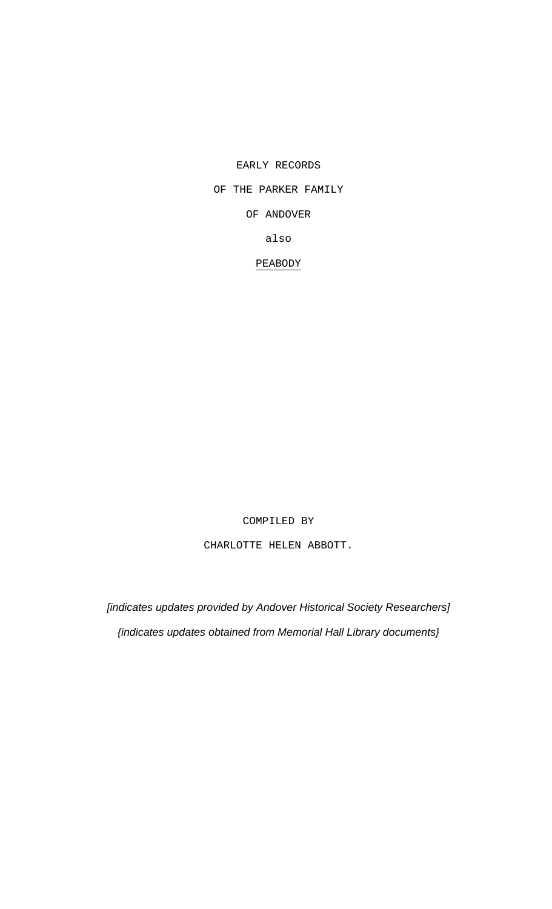EARLY RECORDS

# OF THE PARKER FAMILY

OF ANDOVER

also

PEABODY

COMPILED BY

CHARLOTTE HELEN ABBOTT.

*[indicates updates provided by Andover Historical Society Researchers] {indicates updates obtained from Memorial Hall Library documents}*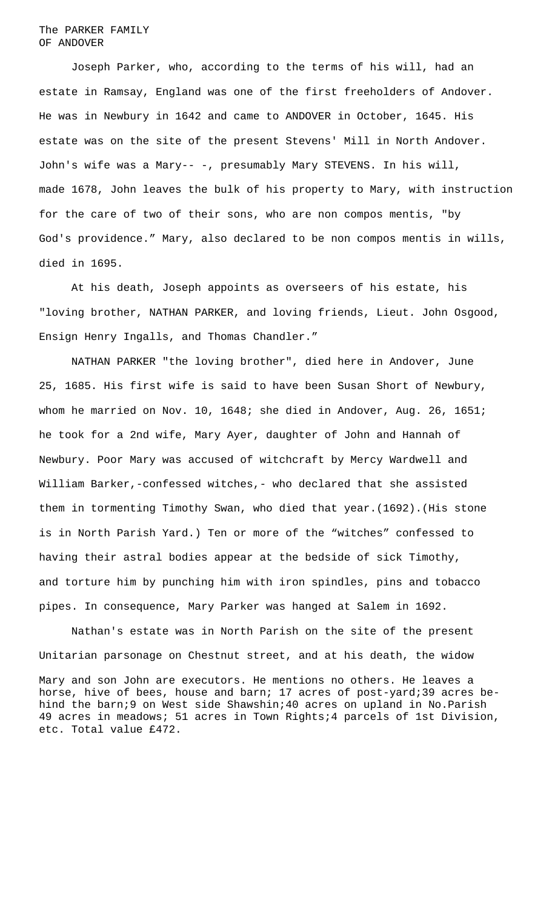### The PARKER FAMILY OF ANDOVER

Joseph Parker, who, according to the terms of his will, had an estate in Ramsay, England was one of the first freeholders of Andover. He was in Newbury in 1642 and came to ANDOVER in October, 1645. His estate was on the site of the present Stevens' Mill in North Andover. John's wife was a Mary-- -, presumably Mary STEVENS. In his will, made 1678, John leaves the bulk of his property to Mary, with instruction for the care of two of their sons, who are non compos mentis, "by God's providence." Mary, also declared to be non compos mentis in wills, died in 1695.

At his death, Joseph appoints as overseers of his estate, his "loving brother, NATHAN PARKER, and loving friends, Lieut. John Osgood, Ensign Henry Ingalls, and Thomas Chandler."

NATHAN PARKER "the loving brother", died here in Andover, June 25, 1685. His first wife is said to have been Susan Short of Newbury, whom he married on Nov. 10, 1648; she died in Andover, Aug. 26, 1651; he took for a 2nd wife, Mary Ayer, daughter of John and Hannah of Newbury. Poor Mary was accused of witchcraft by Mercy Wardwell and William Barker,-confessed witches,- who declared that she assisted them in tormenting Timothy Swan, who died that year.(1692).(His stone is in North Parish Yard.) Ten or more of the "witches" confessed to having their astral bodies appear at the bedside of sick Timothy, and torture him by punching him with iron spindles, pins and tobacco pipes. In consequence, Mary Parker was hanged at Salem in 1692.

Nathan's estate was in North Parish on the site of the present Unitarian parsonage on Chestnut street, and at his death, the widow

Mary and son John are executors. He mentions no others. He leaves a horse, hive of bees, house and barn; 17 acres of post-yard;39 acres behind the barn;9 on West side Shawshin;40 acres on upland in No.Parish 49 acres in meadows; 51 acres in Town Rights;4 parcels of 1st Division, etc. Total value £472.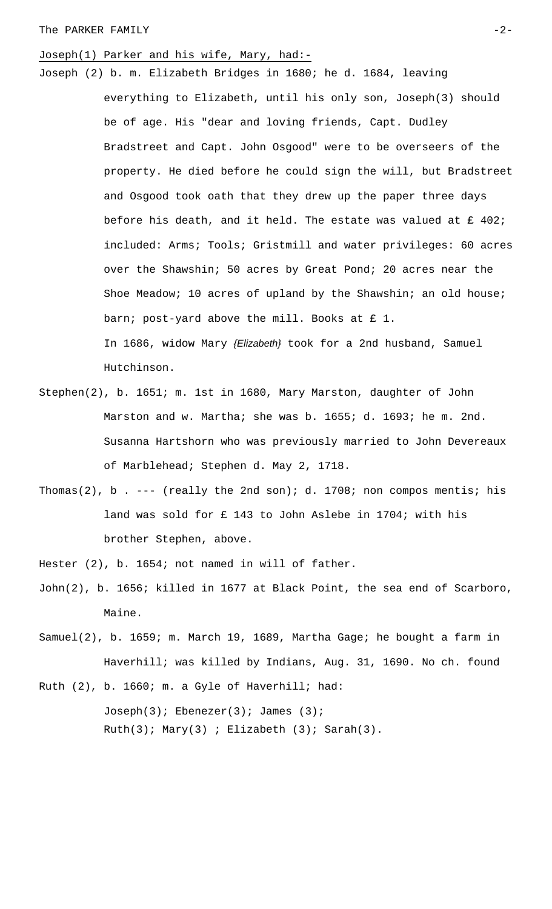### The PARKER FAMILY  $-2-$

# Joseph(1) Parker and his wife, Mary, had:-

- Joseph (2) b. m. Elizabeth Bridges in 1680; he d. 1684, leaving everything to Elizabeth, until his only son, Joseph(3) should be of age. His "dear and loving friends, Capt. Dudley Bradstreet and Capt. John Osgood" were to be overseers of the property. He died before he could sign the will, but Bradstreet and Osgood took oath that they drew up the paper three days before his death, and it held. The estate was valued at  $£$  402; included: Arms; Tools; Gristmill and water privileges: 60 acres over the Shawshin; 50 acres by Great Pond; 20 acres near the Shoe Meadow; 10 acres of upland by the Shawshin; an old house; barn; post-yard above the mill. Books at £ 1. In 1686, widow Mary *{Elizabeth}* took for a 2nd husband, Samuel Hutchinson.
- Stephen(2), b. 1651; m. 1st in 1680, Mary Marston, daughter of John Marston and w. Martha; she was b. 1655; d. 1693; he m. 2nd. Susanna Hartshorn who was previously married to John Devereaux of Marblehead; Stephen d. May 2, 1718.
- Thomas(2), b . --- (really the 2nd son); d. 1708; non compos mentis; his land was sold for £ 143 to John Aslebe in 1704; with his brother Stephen, above.
- Hester (2), b. 1654; not named in will of father.
- John(2), b. 1656; killed in 1677 at Black Point, the sea end of Scarboro, Maine.
- Samuel(2), b. 1659; m. March 19, 1689, Martha Gage; he bought a farm in Haverhill; was killed by Indians, Aug. 31, 1690. No ch. found

Ruth (2), b. 1660; m. a Gyle of Haverhill; had: Joseph(3); Ebenezer(3); James (3);  $Ruth(3); Mary(3); Ellizableth (3); Sarah(3).$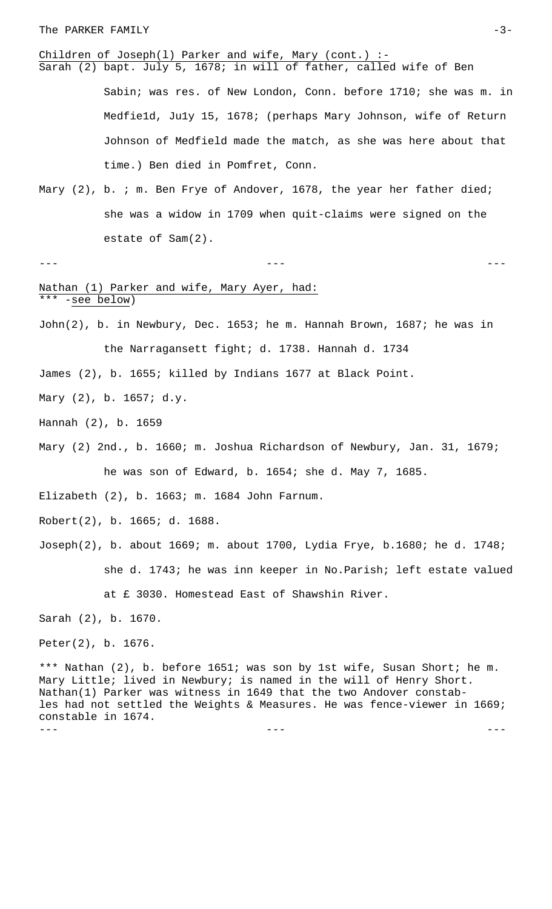### The PARKER FAMILY  $-3-$

# Children of Joseph(1) Parker and wife, Mary (cont.) :-

Sarah (2) bapt. July 5, 1678; in will of father, called wife of Ben Sabin; was res. of New London, Conn. before 1710; she was m. in Medfie1d, Ju1y 15, 1678; (perhaps Mary Johnson, wife of Return Johnson of Medfield made the match, as she was here about that time.) Ben died in Pomfret, Conn.

Mary (2), b. ; m. Ben Frye of Andover, 1678, the year her father died; she was a widow in 1709 when quit-claims were signed on the estate of Sam(2).

### --- --- ---

### Nathan (1) Parker and wife, Mary Ayer, had: \*\*\* -see below)

John(2), b. in Newbury, Dec. 1653; he m. Hannah Brown, 1687; he was in the Narragansett fight; d. 1738. Hannah d. 1734

James (2), b. 1655; killed by Indians 1677 at Black Point.

Mary (2), b. 1657; d.y.

Hannah (2), b. 1659

Mary (2) 2nd., b. 1660; m. Joshua Richardson of Newbury, Jan. 31, 1679; he was son of Edward, b. 1654; she d. May 7, 1685.

Elizabeth (2), b. 1663; m. 1684 John Farnum.

Robert(2), b. 1665; d. 1688.

Joseph(2), b. about 1669; m. about 1700, Lydia Frye, b.1680; he d. 1748; she d. 1743; he was inn keeper in No.Parish; left estate valued at £ 3030. Homestead East of Shawshin River.

Sarah (2), b. 1670.

Peter(2), b. 1676.

\*\*\* Nathan (2), b. before 1651; was son by 1st wife, Susan Short; he m. Mary Little; lived in Newbury; is named in the will of Henry Short. Nathan(1) Parker was witness in 1649 that the two Andover constables had not settled the Weights & Measures. He was fence-viewer in 1669; constable in 1674. --- --- ---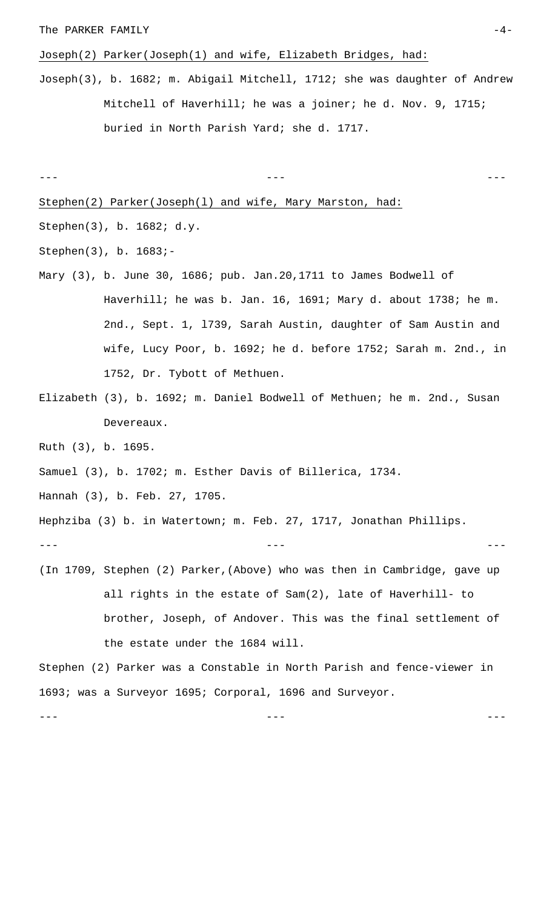### The PARKER FAMILY  $-4-$

Joseph(2) Parker(Joseph(1) and wife, Elizabeth Bridges, had:

Joseph(3), b. 1682; m. Abigail Mitchell, 1712; she was daughter of Andrew Mitchell of Haverhill; he was a joiner; he d. Nov. 9, 1715; buried in North Parish Yard; she d. 1717.

```
--- --- ---
```
Stephen(2) Parker(Joseph(l) and wife, Mary Marston, had:

Stephen(3), b. 1682; d.y.

Stephen(3), b. 1683;-

- Mary (3), b. June 30, 1686; pub. Jan.20,1711 to James Bodwell of Haverhill; he was b. Jan. 16, 1691; Mary d. about 1738; he m. 2nd., Sept. 1, l739, Sarah Austin, daughter of Sam Austin and wife, Lucy Poor, b. 1692; he d. before 1752; Sarah m. 2nd., in 1752, Dr. Tybott of Methuen.
- Elizabeth (3), b. 1692; m. Daniel Bodwell of Methuen; he m. 2nd., Susan Devereaux.

Ruth (3), b. 1695.

Samuel (3), b. 1702; m. Esther Davis of Billerica, 1734.

Hannah (3), b. Feb. 27, 1705.

Hephziba (3) b. in Watertown; m. Feb. 27, 1717, Jonathan Phillips.

--- --- ---

(In 1709, Stephen (2) Parker,(Above) who was then in Cambridge, gave up all rights in the estate of Sam(2), late of Haverhill- to brother, Joseph, of Andover. This was the final settlement of the estate under the 1684 will.

Stephen (2) Parker was a Constable in North Parish and fence-viewer in 1693; was a Surveyor 1695; Corporal, 1696 and Surveyor.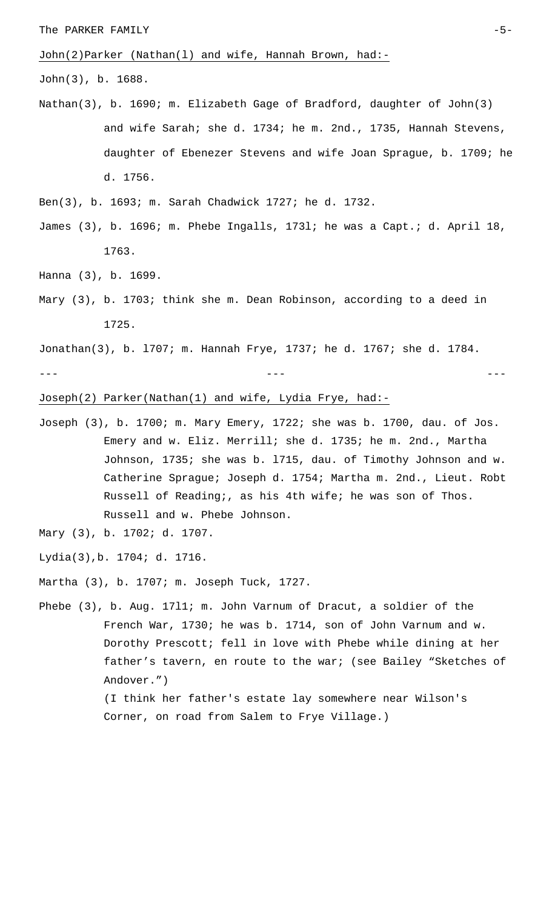John(2)Parker (Nathan(l) and wife, Hannah Brown, had:-

John(3), b. 1688.

- Nathan(3), b. 1690; m. Elizabeth Gage of Bradford, daughter of John(3) and wife Sarah; she d. 1734; he m. 2nd., 1735, Hannah Stevens, daughter of Ebenezer Stevens and wife Joan Sprague, b. 1709; he d. 1756.
- Ben(3), b. 1693; m. Sarah Chadwick 1727; he d. 1732.
- James (3), b. 1696; m. Phebe Ingalls, 173l; he was a Capt.; d. April 18, 1763.

Hanna (3), b. 1699.

Mary (3), b. 1703; think she m. Dean Robinson, according to a deed in 1725.

Jonathan(3), b. l707; m. Hannah Frye, 1737; he d. 1767; she d. 1784.

--- --- ---

# Joseph(2) Parker(Nathan(1) and wife, Lydia Frye, had:-

- Joseph (3), b. 1700; m. Mary Emery, 1722; she was b. 1700, dau. of Jos. Emery and w. Eliz. Merrill; she d. 1735; he m. 2nd., Martha Johnson, 1735; she was b. l715, dau. of Timothy Johnson and w. Catherine Sprague; Joseph d. 1754; Martha m. 2nd., Lieut. Robt Russell of Reading;, as his 4th wife; he was son of Thos. Russell and w. Phebe Johnson.
- Mary (3), b. 1702; d. 1707.

Lydia(3),b. 1704; d. 1716.

Martha (3), b. 1707; m. Joseph Tuck, 1727.

Phebe (3), b. Aug. 17l1; m. John Varnum of Dracut, a soldier of the French War, 1730; he was b. 1714, son of John Varnum and w. Dorothy Prescott; fell in love with Phebe while dining at her father's tavern, en route to the war; (see Bailey "Sketches of Andover.") (I think her father's estate lay somewhere near Wilson's Corner, on road from Salem to Frye Village.)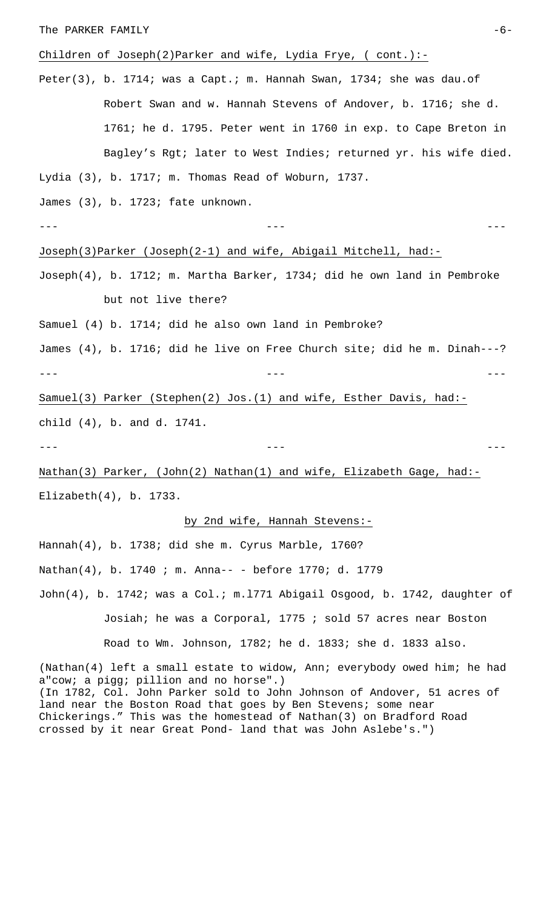### The PARKER FAMILY  $-6-$

# Children of Joseph(2)Parker and wife, Lydia Frye, ( cont.):-

Peter(3), b. 1714; was a Capt.; m. Hannah Swan, 1734; she was dau.of Robert Swan and w. Hannah Stevens of Andover, b. 1716; she d. 1761; he d. 1795. Peter went in 1760 in exp. to Cape Breton in Bagley's Rgt; later to West Indies; returned yr. his wife died. Lydia (3), b. 1717; m. Thomas Read of Woburn, 1737.

James (3), b. 1723; fate unknown.

--- --- ---

### Joseph(3)Parker (Joseph(2-1) and wife, Abigail Mitchell, had:-

Joseph(4), b. 1712; m. Martha Barker, 1734; did he own land in Pembroke but not live there?

Samuel (4) b. 1714; did he also own land in Pembroke?

James (4), b. 1716; did he live on Free Church site; did he m. Dinah---? --- --- ---

Samuel(3) Parker (Stephen(2) Jos.(1) and wife, Esther Davis, had: child (4), b. and d. 1741.

--- --- ---

Nathan(3) Parker, (John(2) Nathan(1) and wife, Elizabeth Gage, had:-Elizabeth(4), b. 1733.

### by 2nd wife, Hannah Stevens:-

Hannah(4), b. 1738; did she m. Cyrus Marble, 1760? Nathan(4), b. 1740 ; m. Anna-- - before 1770; d. 1779 John(4), b. 1742; was a Col.; m.l771 Abigail Osgood, b. 1742, daughter of Josiah; he was a Corporal, 1775 ; sold 57 acres near Boston Road to Wm. Johnson, 1782; he d. 1833; she d. 1833 also.

(Nathan(4) left a small estate to widow, Ann; everybody owed him; he had a"cow; a pigg; pillion and no horse".) (In 1782, Col. John Parker sold to John Johnson of Andover, 51 acres of land near the Boston Road that goes by Ben Stevens; some near Chickerings." This was the homestead of Nathan(3) on Bradford Road crossed by it near Great Pond- land that was John Aslebe's.")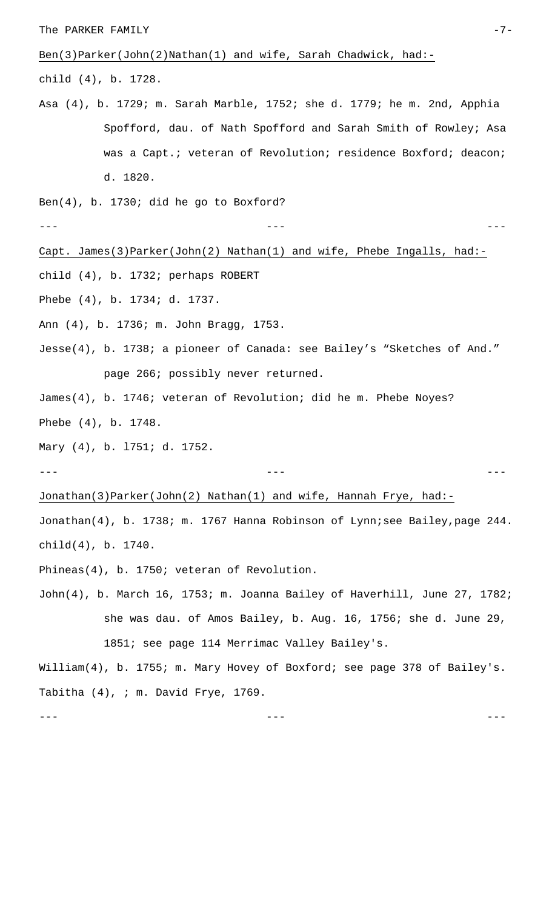The PARKER FAMILY  $-7-$ 

Ben(3)Parker(John(2)Nathan(1) and wife, Sarah Chadwick, had:-

child (4), b. 1728.

Asa (4), b. 1729; m. Sarah Marble, 1752; she d. 1779; he m. 2nd, Apphia Spofford, dau. of Nath Spofford and Sarah Smith of Rowley; Asa was a Capt.; veteran of Revolution; residence Boxford; deacon; d. 1820.

Ben(4), b. 1730; did he go to Boxford?

--- --- ---

### Capt. James(3)Parker(John(2) Nathan(1) and wife, Phebe Ingalls, had:-

child (4), b. 1732; perhaps ROBERT

Phebe (4), b. 1734; d. 1737.

Ann (4), b. 1736; m. John Bragg, 1753.

Jesse(4), b. 1738; a pioneer of Canada: see Bailey's "Sketches of And." page 266; possibly never returned.

James(4), b. 1746; veteran of Revolution; did he m. Phebe Noyes? Phebe (4), b. 1748.

Mary (4), b. l751; d. 1752.

Jonathan(3)Parker(John(2) Nathan(1) and wife, Hannah Frye, had:-

Jonathan(4), b. 1738; m. 1767 Hanna Robinson of Lynn; see Bailey, page 244. child(4), b. 1740.

--- --- ---

Phineas(4), b. 1750; veteran of Revolution.

John(4), b. March 16, 1753; m. Joanna Bailey of Haverhill, June 27, 1782; she was dau. of Amos Bailey, b. Aug. 16, 1756; she d. June 29, 1851; see page 114 Merrimac Valley Bailey's.

William(4), b. 1755; m. Mary Hovey of Boxford; see page 378 of Bailey's. Tabitha (4), ; m. David Frye, 1769.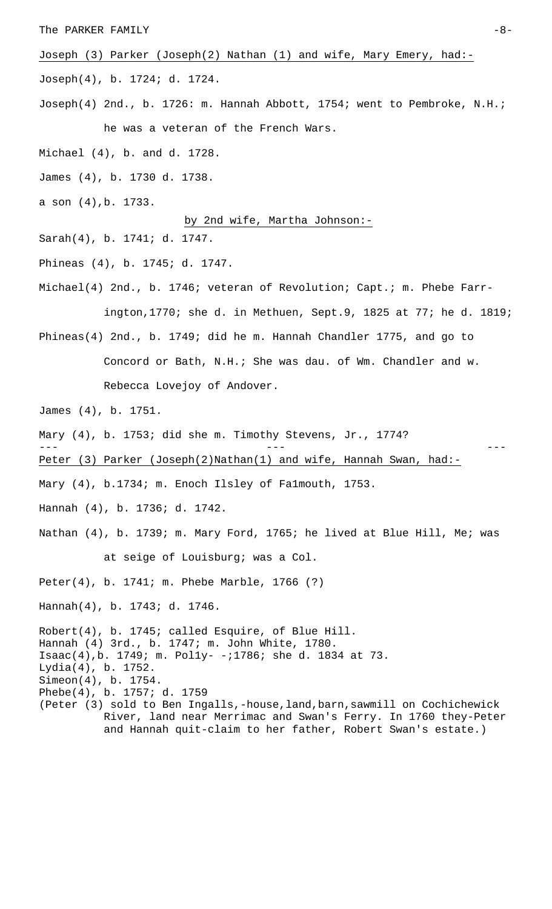### The PARKER FAMILY  $-8-$

Joseph (3) Parker (Joseph(2) Nathan (1) and wife, Mary Emery, had:-

Joseph(4), b. 1724; d. 1724.

- Joseph(4) 2nd., b. 1726: m. Hannah Abbott, 1754; went to Pembroke, N.H.; he was a veteran of the French Wars.
- Michael (4), b. and d. 1728.
- James (4), b. 1730 d. 1738.
- a son (4),b. 1733.

# by 2nd wife, Martha Johnson:-

- Sarah(4), b. 1741; d. 1747.
- Phineas (4), b. 1745; d. 1747.
- Michael(4) 2nd., b. 1746; veteran of Revolution; Capt.; m. Phebe Farrington,1770; she d. in Methuen, Sept.9, 1825 at 77; he d. 1819;
- Phineas(4) 2nd., b. 1749; did he m. Hannah Chandler 1775, and go to Concord or Bath, N.H.; She was dau. of Wm. Chandler and w. Rebecca Lovejoy of Andover.
- James (4), b. 1751.
- Mary (4), b. 1753; did she m. Timothy Stevens, Jr., 1774?
- Peter (3) Parker (Joseph(2)Nathan(1) and wife, Hannah Swan, had:-
- Mary (4), b.1734; m. Enoch Ilsley of Falmouth, 1753.
- Hannah (4), b. 1736; d. 1742.
- Nathan (4), b. 1739; m. Mary Ford, 1765; he lived at Blue Hill, Me; was

and Hannah quit-claim to her father, Robert Swan's estate.)

--- --- ---

at seige of Louisburg; was a Col.

Peter(4), b. 1741; m. Phebe Marble, 1766 (?)

Hannah(4), b. 1743; d. 1746.

Robert(4), b. 1745; called Esquire, of Blue Hill. Hannah (4) 3rd., b. 1747; m. John White, 1780. Isaac(4),b. 1749; m. Pol1y- -;1786; she d. 1834 at 73. Lydia(4), b. 1752. Simeon(4), b. 1754. Phebe(4), b. 1757; d. 1759 (Peter (3) sold to Ben Ingalls,-house,land,barn,sawmill on Cochichewick River, land near Merrimac and Swan's Ferry. In 1760 they-Peter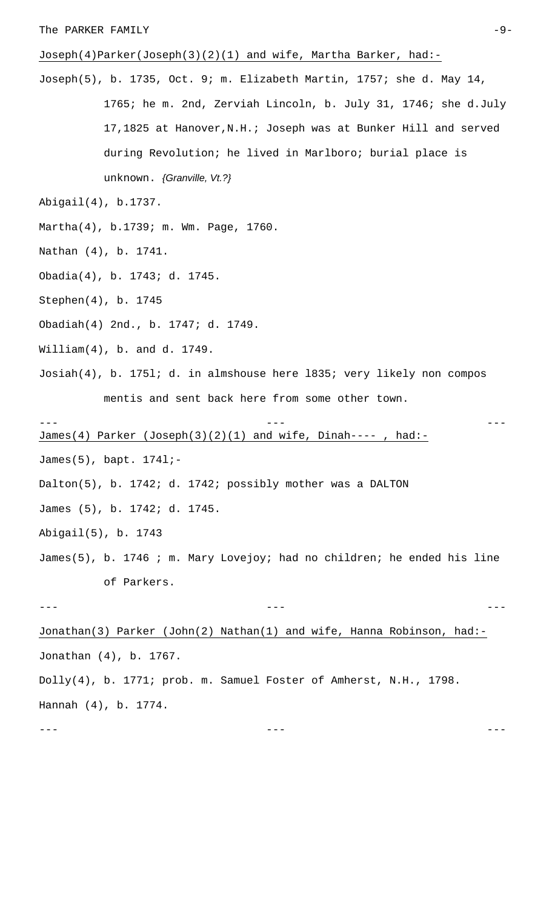# Joseph(4)Parker(Joseph(3)(2)(1) and wife, Martha Barker, had:-

Joseph(5), b. 1735, Oct. 9; m. Elizabeth Martin, 1757; she d. May 14, 1765; he m. 2nd, Zerviah Lincoln, b. July 31, 1746; she d.July 17,1825 at Hanover,N.H.; Joseph was at Bunker Hill and served during Revolution; he lived in Marlboro; burial place is unknown. *{Granville, Vt.?}*

Abigail(4), b.1737.

Martha(4), b.1739; m. Wm. Page, 1760.

Nathan (4), b. 1741.

Obadia(4), b. 1743; d. 1745.

Stephen(4), b. 1745

Obadiah(4) 2nd., b. 1747; d. 1749.

William(4), b. and d. 1749.

Josiah(4), b. 175l; d. in almshouse here l835; very likely non compos mentis and sent back here from some other town.

--- --- ---

James(4) Parker (Joseph(3)(2)(1) and wife, Dinah---- , had:-

James(5), bapt. 174l;-

Dalton(5), b. 1742; d. 1742; possibly mother was a DALTON

James (5), b. 1742; d. 1745.

Abigail(5), b. 1743

James(5), b. 1746 ; m. Mary Lovejoy; had no children; he ended his line of Parkers.

--- --- ---

Jonathan(3) Parker (John(2) Nathan(1) and wife, Hanna Robinson, had:- Jonathan (4), b. 1767. Dolly(4), b. 1771; prob. m. Samuel Foster of Amherst, N.H., 1798. Hannah (4), b. 1774.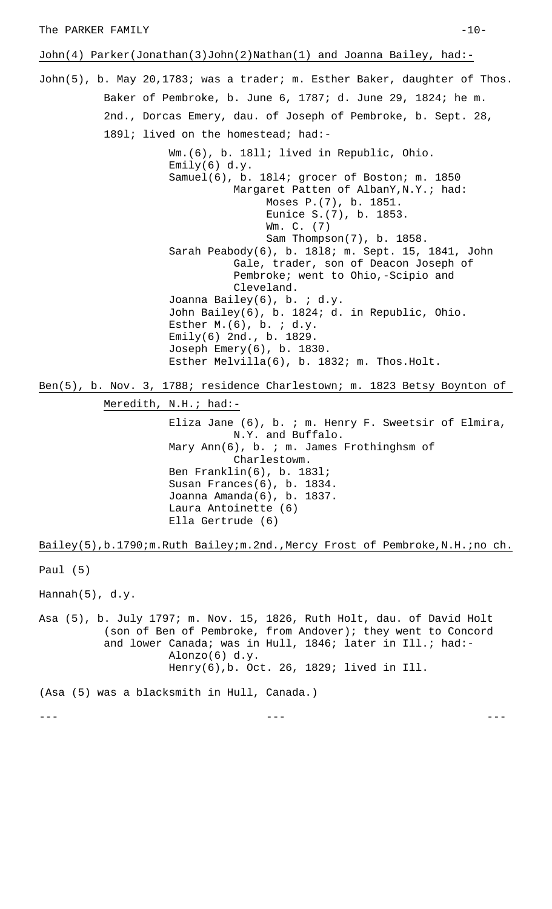John(4) Parker(Jonathan(3)John(2)Nathan(1) and Joanna Bailey, had:-

John(5), b. May 20,1783; was a trader; m. Esther Baker, daughter of Thos. Baker of Pembroke, b. June 6, 1787; d. June 29, 1824; he m. 2nd., Dorcas Emery, dau. of Joseph of Pembroke, b. Sept. 28, 1891; lived on the homestead; had:-

> Wm.(6), b. 18ll; lived in Republic, Ohio. Emily(6)  $d.y.$ Samuel(6), b. 18l4; grocer of Boston; m. 1850 Margaret Patten of AlbanY, N.Y.; had: Moses P.(7), b. 1851. Eunice S.(7), b. 1853. Wm. C. (7) Sam Thompson(7), b. 1858. Sarah Peabody(6), b. 18l8; m. Sept. 15, 1841, John Gale, trader, son of Deacon Joseph of Pembroke; went to Ohio,-Scipio and Cleveland. Joanna Bailey(6), b. ; d.y. John Bailey(6), b. 1824; d. in Republic, Ohio. Esther  $M.(6)$ , b.  $id.y.$ Emily(6) 2nd., b. 1829. Joseph Emery(6), b. 1830. Esther Melvilla(6), b. 1832; m. Thos.Holt.

Ben(5), b. Nov. 3, 1788; residence Charlestown; m. 1823 Betsy Boynton of

Meredith, N.H.; had:-

Eliza Jane (6), b. ; m. Henry F. Sweetsir of Elmira, N.Y. and Buffalo. Mary Ann(6), b. ; m. James Frothinghsm of Charlestowm. Ben Franklin(6), b. 183l; Susan Frances(6), b. 1834. Joanna Amanda(6), b. 1837. Laura Antoinette (6) Ella Gertrude (6)

Bailey(5),b.1790;m.Ruth Bailey;m.2nd.,Mercy Frost of Pembroke, N.H.;no ch.

Paul (5)

Hannah(5), d.y.

Asa (5), b. July 1797; m. Nov. 15, 1826, Ruth Holt, dau. of David Holt (son of Ben of Pembroke, from Andover); they went to Concord and lower Canada; was in Hull, 1846; later in Ill.; had:-Alonzo(6) d.y. Henry(6),b. Oct. 26, 1829; lived in Ill.

(Asa (5) was a blacksmith in Hull, Canada.)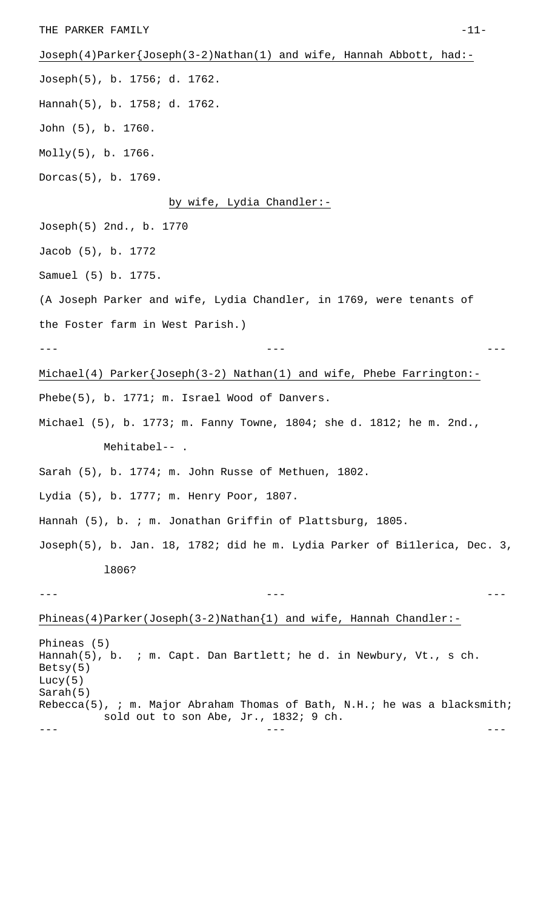THE PARKER FAMILY  $-11-$ Joseph(4)Parker{Joseph(3-2)Nathan(1) and wife, Hannah Abbott, had:- Joseph(5), b. 1756; d. 1762. Hannah(5), b. 1758; d. 1762. John (5), b. 1760. Molly(5), b. 1766. Dorcas(5), b. 1769. by wife, Lydia Chandler:- Joseph(5) 2nd., b. 1770 Jacob (5), b. 1772 Samuel (5) b. 1775. (A Joseph Parker and wife, Lydia Chandler, in 1769, were tenants of the Foster farm in West Parish.) --- --- --- Michael(4) Parker{Joseph(3-2) Nathan(1) and wife, Phebe Farrington:- Phebe(5), b. 1771; m. Israel Wood of Danvers. Michael (5), b. 1773; m. Fanny Towne, 1804; she d. 1812; he m. 2nd., Mehitabel-- . Sarah (5), b. 1774; m. John Russe of Methuen, 1802. Lydia (5), b. 1777; m. Henry Poor, 1807. Hannah (5), b. ; m. Jonathan Griffin of Plattsburg, 1805. Joseph(5), b. Jan. 18, 1782; did he m. Lydia Parker of Bi1lerica, Dec. 3, l806? --- --- --- Phineas(4)Parker(Joseph(3-2)Nathan{1) and wife, Hannah Chandler:- Phineas (5) Hannah(5), b. ; m. Capt. Dan Bartlett; he d. in Newbury, Vt., s ch. Betsy(5) Lucy(5) Sarah(5) Rebecca(5), ; m. Major Abraham Thomas of Bath, N.H.; he was a blacksmith; sold out to son Abe, Jr., 1832; 9 ch. --- --- ---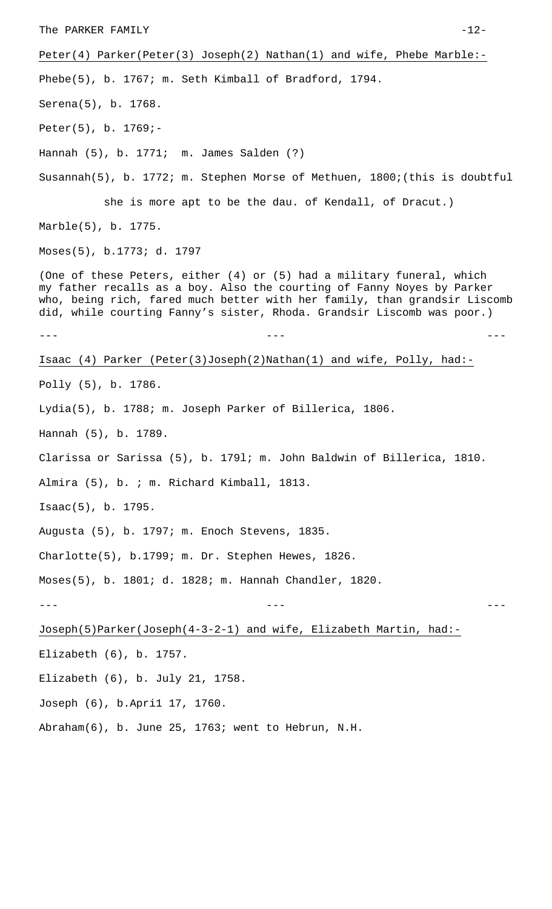Peter(4) Parker(Peter(3) Joseph(2) Nathan(1) and wife, Phebe Marble:- Phebe(5), b. 1767; m. Seth Kimball of Bradford, 1794. Serena(5), b. 1768. Peter(5), b. 1769;- Hannah (5), b. 1771; m. James Salden (?) Susannah(5), b. 1772; m. Stephen Morse of Methuen, 1800;(this is doubtful she is more apt to be the dau. of Kendall, of Dracut.) Marble(5), b. 1775. Moses(5), b.1773; d. 1797 (One of these Peters, either (4) or (5) had a military funeral, which my father recalls as a boy. Also the courting of Fanny Noyes by Parker who, being rich, fared much better with her family, than grandsir Liscomb did, while courting Fanny's sister, Rhoda. Grandsir Liscomb was poor.) --- --- --- Isaac (4) Parker (Peter(3)Joseph(2)Nathan(1) and wife, Polly, had:- Polly (5), b. 1786. Lydia(5), b. 1788; m. Joseph Parker of Billerica, 1806. Hannah (5), b. 1789. Clarissa or Sarissa (5), b. 179l; m. John Baldwin of Billerica, 1810. Almira (5), b. ; m. Richard Kimball, 1813. Isaac(5), b. 1795. Augusta (5), b. 1797; m. Enoch Stevens, 1835. Charlotte(5), b.1799; m. Dr. Stephen Hewes, 1826. Moses(5), b. 1801; d. 1828; m. Hannah Chandler, 1820. --- --- --- Joseph(5)Parker(Joseph(4-3-2-1) and wife, Elizabeth Martin, had:- Elizabeth (6), b. 1757. Elizabeth (6), b. July 21, 1758. Joseph (6), b.Apri1 17, 1760.

Abraham(6), b. June 25, 1763; went to Hebrun, N.H.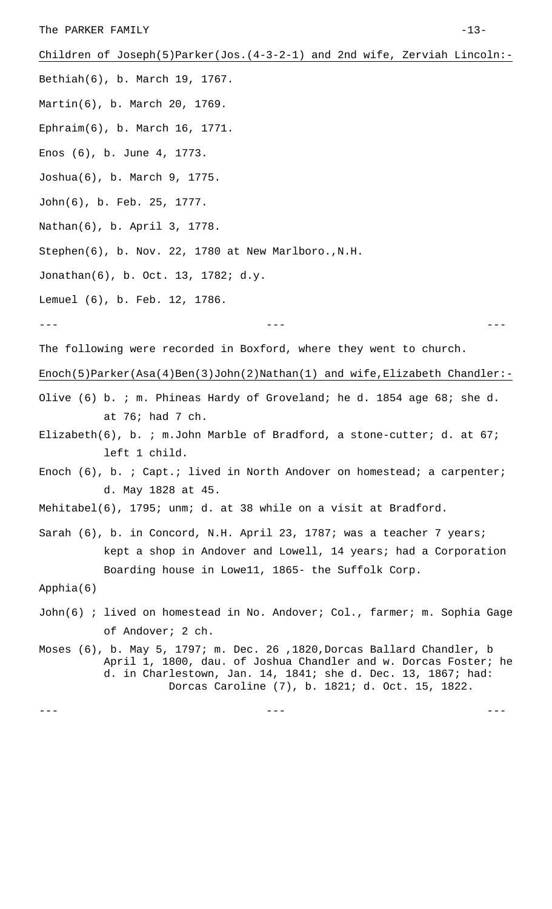The PARKER FAMILY  $-13-$ 

Children of Joseph(5)Parker(Jos.(4-3-2-1) and 2nd wife, Zerviah Lincoln:- Bethiah(6), b. March 19, 1767. Martin(6), b. March 20, 1769. Ephraim(6), b. March 16, 1771. Enos (6), b. June 4, 1773. Joshua(6), b. March 9, 1775. John(6), b. Feb. 25, 1777. Nathan(6), b. April 3, 1778. Stephen(6), b. Nov. 22, 1780 at New Marlboro.,N.H. Jonathan(6), b. Oct. 13, 1782; d.y. Lemuel (6), b. Feb. 12, 1786. --- --- --- The following were recorded in Boxford, where they went to church. Enoch(5)Parker(Asa(4)Ben(3)John(2)Nathan(1) and wife,Elizabeth Chandler:-Olive (6) b. ; m. Phineas Hardy of Groveland; he d. 1854 age 68; she d. at 76; had 7 ch. Elizabeth(6), b. ; m.John Marble of Bradford, a stone-cutter; d. at 67; left 1 child. Enoch (6), b. ; Capt.; lived in North Andover on homestead; a carpenter; d. May 1828 at 45. Mehitabel(6), 1795; unm; d. at 38 while on a visit at Bradford. Sarah (6), b. in Concord, N.H. April 23, 1787; was a teacher 7 years; kept a shop in Andover and Lowell, 14 years; had a Corporation Boarding house in Lowe11, 1865- the Suffolk Corp. Apphia(6) John(6) ; lived on homestead in No. Andover; Col., farmer; m. Sophia Gage of Andover; 2 ch. Moses (6), b. May 5, 1797; m. Dec. 26 ,1820,Dorcas Ballard Chandler, b April 1, 1800, dau. of Joshua Chandler and w. Dorcas Foster; he d. in Charlestown, Jan. 14, 1841; she d. Dec. 13, 1867; had: Dorcas Caroline (7), b. 1821; d. Oct. 15, 1822.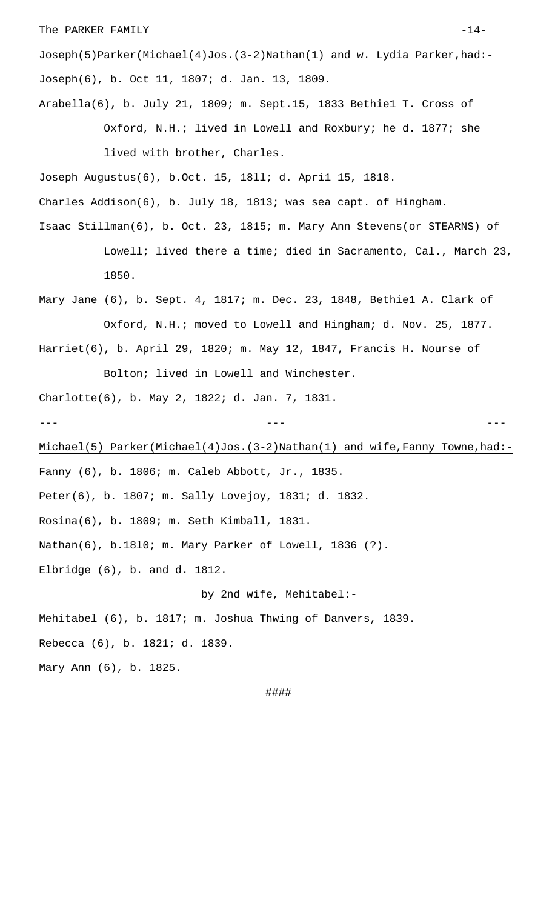### The PARKER FAMILY  $-14-$

Joseph(5)Parker(Michael(4)Jos.(3-2)Nathan(1) and w. Lydia Parker,had:- Joseph(6), b. Oct 11, 1807; d. Jan. 13, 1809.

Arabella(6), b. July 21, 1809; m. Sept.15, 1833 Bethie1 T. Cross of Oxford, N.H.; lived in Lowell and Roxbury; he d. 1877; she lived with brother, Charles.

Joseph Augustus(6), b.Oct. 15, 18ll; d. Apri1 15, 1818.

Charles Addison(6), b. July 18, 1813; was sea capt. of Hingham.

- Isaac Stillman(6), b. Oct. 23, 1815; m. Mary Ann Stevens(or STEARNS) of Lowell; lived there a time; died in Sacramento, Cal., March 23, 1850.
- Mary Jane (6), b. Sept. 4, 1817; m. Dec. 23, 1848, Bethie1 A. Clark of Oxford, N.H.; moved to Lowell and Hingham; d. Nov. 25, 1877. Harriet(6), b. April 29, 1820; m. May 12, 1847, Francis H. Nourse of

Bolton; lived in Lowell and Winchester. Charlotte(6), b. May 2, 1822; d. Jan. 7, 1831. --- --- ---

Michael(5) Parker(Michael(4)Jos.(3-2)Nathan(1) and wife,Fanny Towne,had:- Fanny (6), b. 1806; m. Caleb Abbott, Jr., 1835. Peter(6), b. 1807; m. Sally Lovejoy, 1831; d. 1832. Rosina(6), b. 1809; m. Seth Kimball, 1831. Nathan(6), b.18l0; m. Mary Parker of Lowell, 1836 (?). Elbridge (6), b. and d. 1812.

# by 2nd wife, Mehitabel:-

Mehitabel (6), b. 1817; m. Joshua Thwing of Danvers, 1839. Rebecca (6), b. 1821; d. 1839. Mary Ann (6), b. 1825.

####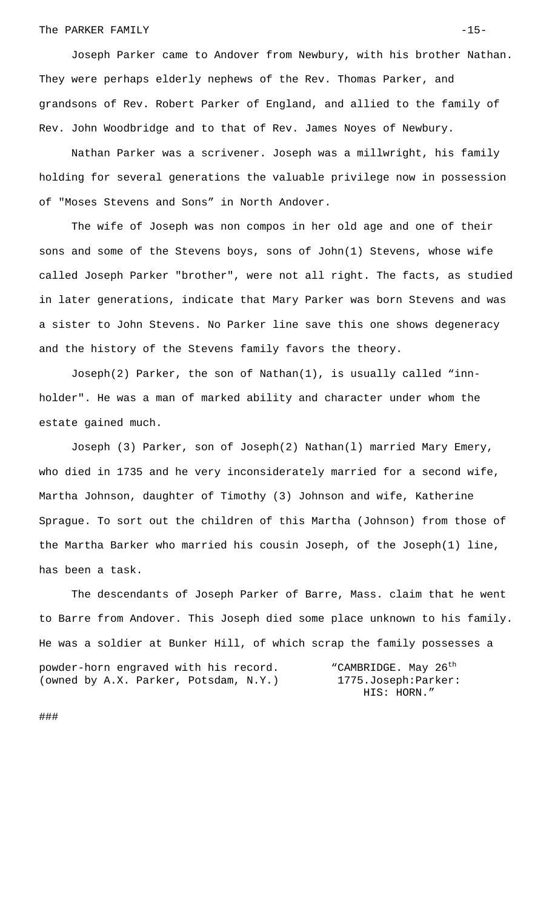### The PARKER FAMILY  $-15-$

Joseph Parker came to Andover from Newbury, with his brother Nathan. They were perhaps elderly nephews of the Rev. Thomas Parker, and grandsons of Rev. Robert Parker of England, and allied to the family of Rev. John Woodbridge and to that of Rev. James Noyes of Newbury.

Nathan Parker was a scrivener. Joseph was a millwright, his family holding for several generations the valuable privilege now in possession of "Moses Stevens and Sons" in North Andover.

The wife of Joseph was non compos in her old age and one of their sons and some of the Stevens boys, sons of John(1) Stevens, whose wife called Joseph Parker "brother", were not all right. The facts, as studied in later generations, indicate that Mary Parker was born Stevens and was a sister to John Stevens. No Parker line save this one shows degeneracy and the history of the Stevens family favors the theory.

Joseph(2) Parker, the son of Nathan(1), is usually called "innholder". He was a man of marked ability and character under whom the estate gained much.

Joseph (3) Parker, son of Joseph(2) Nathan(l) married Mary Emery, who died in 1735 and he very inconsiderately married for a second wife, Martha Johnson, daughter of Timothy (3) Johnson and wife, Katherine Sprague. To sort out the children of this Martha (Johnson) from those of the Martha Barker who married his cousin Joseph, of the Joseph(1) line, has been a task.

The descendants of Joseph Parker of Barre, Mass. claim that he went to Barre from Andover. This Joseph died some place unknown to his family. He was a soldier at Bunker Hill, of which scrap the family possesses a powder-horn engraved with his record. "CAMBRIDGE. May 26<sup>th</sup> (owned by A.X. Parker, Potsdam, N.Y.) 1775.Joseph:Parker: HIS: HORN."

###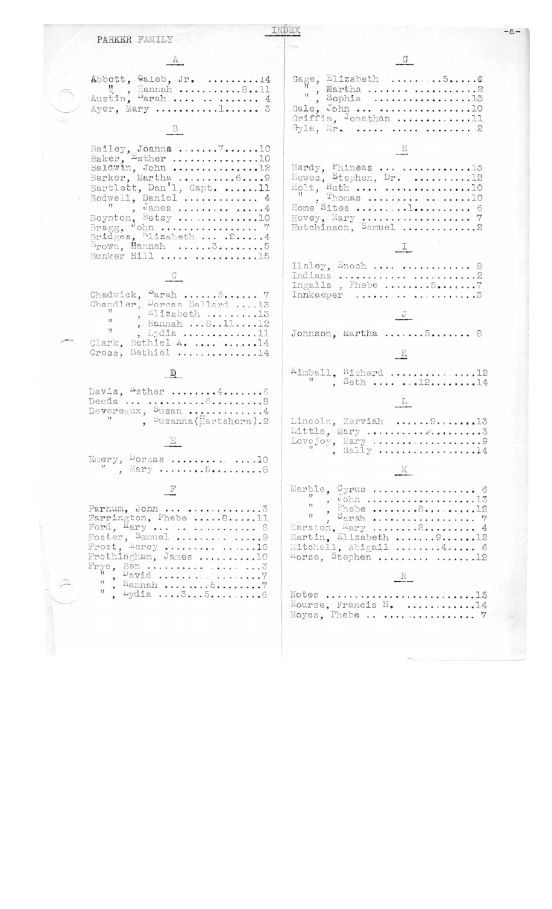| PARKER FAMILY                                                                                                                                                                                                                                                                                    |                                                                                                                                                                                                  |
|--------------------------------------------------------------------------------------------------------------------------------------------------------------------------------------------------------------------------------------------------------------------------------------------------|--------------------------------------------------------------------------------------------------------------------------------------------------------------------------------------------------|
|                                                                                                                                                                                                                                                                                                  |                                                                                                                                                                                                  |
| Abbott, Galeb, Jr. 14<br>, Hannah 811<br>Austin, Parah    4<br>Ayer, Mary 1 3                                                                                                                                                                                                                    | Gage, Elizabeth 56<br>Gale, John  10<br>Griffin, Jonathan 11<br>Gyle, Mr.    2                                                                                                                   |
| Bailey, Joanna $710$<br>Baker, Esther 10<br>Baldwin, John 12<br>Barker, Martha 69<br>Bartlett, Dan'l, Capt. 11<br>Bodwell, Daniel  4<br>Boynton, Betsy 10<br>Bridges, Elizabeth  . 2 4<br>$B_{\text{rown}}$ , Hannah 35<br>Bunker Hill  15<br>Chadwick, Parah 5 7<br>Chandler, Dorcas Ballard 13 | Hardy, Phineas  13<br>Hewes, Stephen, Dr. 12<br>Hovey, Mary $7$<br>Hutchinson, Samuel 2<br>$Ilsley, Enoch \ldots \ldots \ldots \ldots \ldots$<br>Indians  2<br>Ingalls, Phebe57<br>Innkeeper   3 |
| $,$ Elizabeth 13<br>11<br>, Hannah 81112<br>11<br>, Lydia 11<br>Clark, Bethiel A.  14<br>Cross, Bethiel 14                                                                                                                                                                                       | Johnson, Martha 5 8                                                                                                                                                                              |
| Davis, $#$ sther $4$ 6<br>Deeds  68<br>Devereaux, Susan 4<br>, Susanna (Hartshorn). 2<br>Emery, $\frac{D}{N}$ orcas  8                                                                                                                                                                           | $\overset{\text{Kumball}}{\text{''}}$ , $\overset{\text{Richard}}{\text{5eth}}$ 12<br>Lincoln, Zerviah  9 13<br>Lovejoy, Mary 9<br>Sally 14<br>IVI                                               |
| F<br>Farnum, John  3<br>Farrington, Phebe 811<br>Ford, $Mary$ 8<br>Foster, Samuel   9<br>Frost, Mercy  10<br>Frothingham, James 10<br>, Hannah 57<br>, Lydia 356                                                                                                                                 | Marble, Cyrus  6<br>Mitchell, Abigail 4 6<br>Morse, Stephen  12<br>Notes 15<br>Nourse, Francis H. 14<br>Noyes, Phebe    7                                                                        |
|                                                                                                                                                                                                                                                                                                  |                                                                                                                                                                                                  |